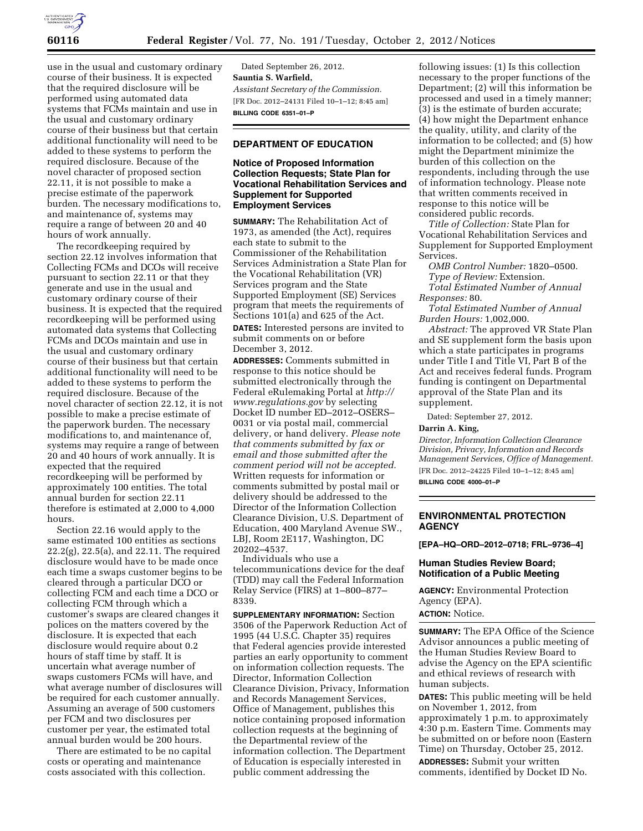

use in the usual and customary ordinary course of their business. It is expected that the required disclosure will be performed using automated data systems that FCMs maintain and use in the usual and customary ordinary course of their business but that certain additional functionality will need to be added to these systems to perform the required disclosure. Because of the novel character of proposed section 22.11, it is not possible to make a precise estimate of the paperwork burden. The necessary modifications to, and maintenance of, systems may require a range of between 20 and 40 hours of work annually.

The recordkeeping required by section 22.12 involves information that Collecting FCMs and DCOs will receive pursuant to section 22.11 or that they generate and use in the usual and customary ordinary course of their business. It is expected that the required recordkeeping will be performed using automated data systems that Collecting FCMs and DCOs maintain and use in the usual and customary ordinary course of their business but that certain additional functionality will need to be added to these systems to perform the required disclosure. Because of the novel character of section 22.12, it is not possible to make a precise estimate of the paperwork burden. The necessary modifications to, and maintenance of, systems may require a range of between 20 and 40 hours of work annually. It is expected that the required recordkeeping will be performed by approximately 100 entities. The total annual burden for section 22.11 therefore is estimated at 2,000 to 4,000 hours.

Section 22.16 would apply to the same estimated 100 entities as sections 22.2(g), 22.5(a), and 22.11. The required disclosure would have to be made once each time a swaps customer begins to be cleared through a particular DCO or collecting FCM and each time a DCO or collecting FCM through which a customer's swaps are cleared changes it polices on the matters covered by the disclosure. It is expected that each disclosure would require about 0.2 hours of staff time by staff. It is uncertain what average number of swaps customers FCMs will have, and what average number of disclosures will be required for each customer annually. Assuming an average of 500 customers per FCM and two disclosures per customer per year, the estimated total annual burden would be 200 hours.

There are estimated to be no capital costs or operating and maintenance costs associated with this collection.

Dated September 26, 2012. **Sauntia S. Warfield,**  *Assistant Secretary of the Commission.*  [FR Doc. 2012–24131 Filed 10–1–12; 8:45 am] **BILLING CODE 6351–01–P** 

# **DEPARTMENT OF EDUCATION**

# **Notice of Proposed Information Collection Requests; State Plan for Vocational Rehabilitation Services and Supplement for Supported Employment Services**

**SUMMARY:** The Rehabilitation Act of 1973, as amended (the Act), requires each state to submit to the Commissioner of the Rehabilitation Services Administration a State Plan for the Vocational Rehabilitation (VR) Services program and the State Supported Employment (SE) Services program that meets the requirements of Sections 101(a) and 625 of the Act. **DATES:** Interested persons are invited to submit comments on or before December 3, 2012.

**ADDRESSES:** Comments submitted in response to this notice should be submitted electronically through the Federal eRulemaking Portal at *[http://](http://www.regulations.gov) [www.regulations.gov](http://www.regulations.gov)* by selecting Docket ID number ED–2012–OSERS– 0031 or via postal mail, commercial delivery, or hand delivery. *Please note that comments submitted by fax or email and those submitted after the comment period will not be accepted.*  Written requests for information or comments submitted by postal mail or delivery should be addressed to the Director of the Information Collection Clearance Division, U.S. Department of Education, 400 Maryland Avenue SW., LBJ, Room 2E117, Washington, DC 20202–4537.

Individuals who use a telecommunications device for the deaf (TDD) may call the Federal Information Relay Service (FIRS) at 1–800–877– 8339.

**SUPPLEMENTARY INFORMATION:** Section 3506 of the Paperwork Reduction Act of 1995 (44 U.S.C. Chapter 35) requires that Federal agencies provide interested parties an early opportunity to comment on information collection requests. The Director, Information Collection Clearance Division, Privacy, Information and Records Management Services, Office of Management, publishes this notice containing proposed information collection requests at the beginning of the Departmental review of the information collection. The Department of Education is especially interested in public comment addressing the

following issues: (1) Is this collection necessary to the proper functions of the Department; (2) will this information be processed and used in a timely manner; (3) is the estimate of burden accurate; (4) how might the Department enhance the quality, utility, and clarity of the information to be collected; and (5) how might the Department minimize the burden of this collection on the respondents, including through the use of information technology. Please note that written comments received in response to this notice will be considered public records.

*Title of Collection:* State Plan for Vocational Rehabilitation Services and Supplement for Supported Employment Services.

*OMB Control Number:* 1820–0500. *Type of Review:* Extension. *Total Estimated Number of Annual* 

*Responses:* 80.

*Total Estimated Number of Annual Burden Hours:* 1,002,000.

*Abstract:* The approved VR State Plan and SE supplement form the basis upon which a state participates in programs under Title I and Title VI, Part B of the Act and receives federal funds. Program funding is contingent on Departmental approval of the State Plan and its supplement.

Dated: September 27, 2012.

**Darrin A. King,** 

*Director, Information Collection Clearance Division, Privacy, Information and Records Management Services, Office of Management.*  [FR Doc. 2012–24225 Filed 10–1–12; 8:45 am]

**BILLING CODE 4000–01–P** 

# **ENVIRONMENTAL PROTECTION AGENCY**

**[EPA–HQ–ORD–2012–0718; FRL–9736–4]** 

### **Human Studies Review Board; Notification of a Public Meeting**

**AGENCY:** Environmental Protection Agency (EPA). **ACTION:** Notice.

**SUMMARY:** The EPA Office of the Science Advisor announces a public meeting of the Human Studies Review Board to advise the Agency on the EPA scientific and ethical reviews of research with human subjects.

**DATES:** This public meeting will be held on November 1, 2012, from approximately 1 p.m. to approximately 4:30 p.m. Eastern Time. Comments may be submitted on or before noon (Eastern Time) on Thursday, October 25, 2012.

**ADDRESSES:** Submit your written comments, identified by Docket ID No.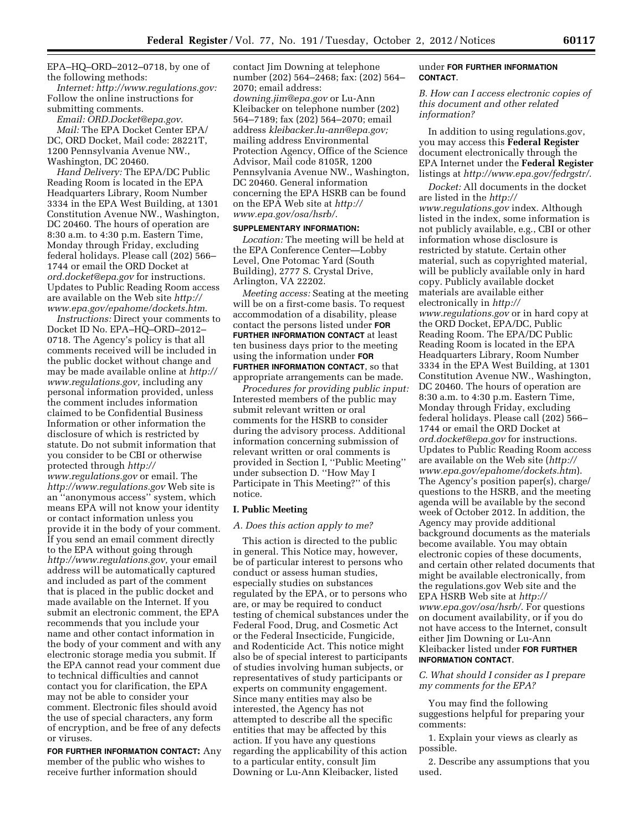EPA–HQ–ORD–2012–0718, by one of the following methods:

*Internet: [http://www.regulations.gov:](http://www.regulations.gov)*  Follow the online instructions for submitting comments.

*Email: [ORD.Docket@epa.gov](mailto:ORD.Docket@epa.gov)*. *Mail:* The EPA Docket Center EPA/ DC, ORD Docket, Mail code: 28221T, 1200 Pennsylvania Avenue NW., Washington, DC 20460.

*Hand Delivery:* The EPA/DC Public Reading Room is located in the EPA Headquarters Library, Room Number 3334 in the EPA West Building, at 1301 Constitution Avenue NW., Washington, DC 20460. The hours of operation are 8:30 a.m. to 4:30 p.m. Eastern Time, Monday through Friday, excluding federal holidays. Please call (202) 566– 1744 or email the ORD Docket at *[ord.docket@epa.gov](mailto:ord.docket@epa.gov)* for instructions. Updates to Public Reading Room access are available on the Web site *[http://](http://www.epa.gov/epahome/dockets.htm) [www.epa.gov/epahome/dockets.htm](http://www.epa.gov/epahome/dockets.htm)*.

*Instructions:* Direct your comments to Docket ID No. EPA–HQ–ORD–2012– 0718. The Agency's policy is that all comments received will be included in the public docket without change and may be made available online at *[http://](http://www.regulations.gov)  [www.regulations.gov,](http://www.regulations.gov)* including any personal information provided, unless the comment includes information claimed to be Confidential Business Information or other information the disclosure of which is restricted by statute. Do not submit information that you consider to be CBI or otherwise protected through *[http://](http://www.regulations.gov)  [www.regulations.gov](http://www.regulations.gov)* or email. The *<http://www.regulations.gov>* Web site is an ''anonymous access'' system, which means EPA will not know your identity or contact information unless you provide it in the body of your comment. If you send an email comment directly to the EPA without going through *[http://www.regulations.gov,](http://www.regulations.gov)* your email address will be automatically captured and included as part of the comment that is placed in the public docket and made available on the Internet. If you submit an electronic comment, the EPA recommends that you include your name and other contact information in the body of your comment and with any electronic storage media you submit. If the EPA cannot read your comment due to technical difficulties and cannot contact you for clarification, the EPA may not be able to consider your comment. Electronic files should avoid the use of special characters, any form of encryption, and be free of any defects or viruses.

**FOR FURTHER INFORMATION CONTACT:** Any member of the public who wishes to receive further information should

contact Jim Downing at telephone number (202) 564–2468; fax: (202) 564– 2070; email address: *[downing.jim@epa.gov](mailto:downing.jim@epa.gov)* or Lu-Ann Kleibacker on telephone number (202) 564–7189; fax (202) 564–2070; email address *[kleibacker.lu-ann@epa.gov;](mailto:kleibacker.lu-ann@epa.gov)*  mailing address Environmental Protection Agency, Office of the Science Advisor, Mail code 8105R, 1200 Pennsylvania Avenue NW., Washington, DC 20460. General information concerning the EPA HSRB can be found on the EPA Web site at *[http://](http://www.epa.gov/osa/hsrb/) [www.epa.gov/osa/hsrb/](http://www.epa.gov/osa/hsrb/)*.

#### **SUPPLEMENTARY INFORMATION:**

*Location:* The meeting will be held at the EPA Conference Center—Lobby Level, One Potomac Yard (South Building), 2777 S. Crystal Drive, Arlington, VA 22202.

*Meeting access:* Seating at the meeting will be on a first-come basis. To request accommodation of a disability, please contact the persons listed under **FOR FURTHER INFORMATION CONTACT** at least ten business days prior to the meeting using the information under **FOR FURTHER INFORMATION CONTACT**, so that appropriate arrangements can be made.

*Procedures for providing public input:*  Interested members of the public may submit relevant written or oral comments for the HSRB to consider during the advisory process. Additional information concerning submission of relevant written or oral comments is provided in Section I, ''Public Meeting'' under subsection D. ''How May I Participate in This Meeting?'' of this notice.

#### **I. Public Meeting**

#### *A. Does this action apply to me?*

This action is directed to the public in general. This Notice may, however, be of particular interest to persons who conduct or assess human studies, especially studies on substances regulated by the EPA, or to persons who are, or may be required to conduct testing of chemical substances under the Federal Food, Drug, and Cosmetic Act or the Federal Insecticide, Fungicide, and Rodenticide Act. This notice might also be of special interest to participants of studies involving human subjects, or representatives of study participants or experts on community engagement. Since many entities may also be interested, the Agency has not attempted to describe all the specific entities that may be affected by this action. If you have any questions regarding the applicability of this action to a particular entity, consult Jim Downing or Lu-Ann Kleibacker, listed

### under **FOR FURTHER INFORMATION CONTACT**.

*B. How can I access electronic copies of this document and other related information?* 

In addition to using regulations.gov, you may access this **Federal Register**  document electronically through the EPA Internet under the **Federal Register**  listings at *<http://www.epa.gov/fedrgstr/>*.

*Docket:* All documents in the docket are listed in the *[http://](http://www.regulations.gov) [www.regulations.gov](http://www.regulations.gov)* index. Although listed in the index, some information is not publicly available, e.g., CBI or other information whose disclosure is restricted by statute. Certain other material, such as copyrighted material, will be publicly available only in hard copy. Publicly available docket materials are available either electronically in *[http://](http://www.regulations.gov) [www.regulations.gov](http://www.regulations.gov)* or in hard copy at the ORD Docket, EPA/DC, Public Reading Room. The EPA/DC Public Reading Room is located in the EPA Headquarters Library, Room Number 3334 in the EPA West Building, at 1301 Constitution Avenue NW., Washington, DC 20460. The hours of operation are 8:30 a.m. to 4:30 p.m. Eastern Time, Monday through Friday, excluding federal holidays. Please call (202) 566– 1744 or email the ORD Docket at *[ord.docket@epa.gov](mailto:ord.docket@epa.gov)* for instructions. Updates to Public Reading Room access are available on the Web site (*[http://](http://www.epa.gov/epahome/dockets.htm) [www.epa.gov/epahome/dockets.htm](http://www.epa.gov/epahome/dockets.htm)*). The Agency's position paper(s), charge/ questions to the HSRB, and the meeting agenda will be available by the second week of October 2012. In addition, the Agency may provide additional background documents as the materials become available. You may obtain electronic copies of these documents, and certain other related documents that might be available electronically, from the regulations.gov Web site and the EPA HSRB Web site at *[http://](http://www.epa.gov/osa/hsrb/)  [www.epa.gov/osa/hsrb/](http://www.epa.gov/osa/hsrb/)*. For questions on document availability, or if you do not have access to the Internet, consult either Jim Downing or Lu-Ann Kleibacker listed under **FOR FURTHER INFORMATION CONTACT**.

*C. What should I consider as I prepare my comments for the EPA?* 

You may find the following suggestions helpful for preparing your comments:

1. Explain your views as clearly as possible.

2. Describe any assumptions that you used.